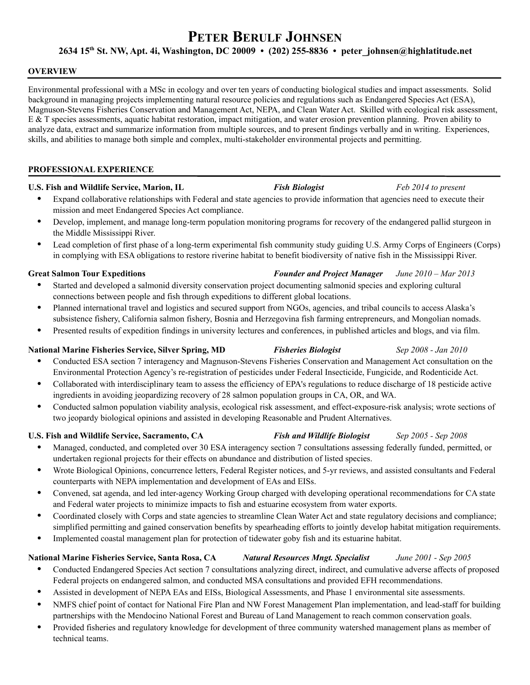# **PETER BERULF JOHNSEN**

# **2634 15th St. NW, Apt. 4i, Washington, DC 20009 • (202) 255-8836 • peter\_johnsen@highlatitude.net**

#### **OVERVIEW**

Environmental professional with a MSc in ecology and over ten years of conducting biological studies and impact assessments. Solid background in managing projects implementing natural resource policies and regulations such as Endangered Species Act (ESA), Magnuson-Stevens Fisheries Conservation and Management Act, NEPA, and Clean Water Act. Skilled with ecological risk assessment, E & T species assessments, aquatic habitat restoration, impact mitigation, and water erosion prevention planning. Proven ability to analyze data, extract and summarize information from multiple sources, and to present findings verbally and in writing. Experiences, skills, and abilities to manage both simple and complex, multi-stakeholder environmental projects and permitting.

#### **PROFESSIONAL EXPERIENCE**

### **U.S. Fish and Wildlife Service, Marion, IL** *Fish Biologist Feb 2014 to present*

- Expand collaborative relationships with Federal and state agencies to provide information that agencies need to execute their mission and meet Endangered Species Act compliance.
- Develop, implement, and manage long-term population monitoring programs for recovery of the endangered pallid sturgeon in the Middle Mississippi River.
- Lead completion of first phase of a long-term experimental fish community study guiding U.S. Army Corps of Engineers (Corps) in complying with ESA obligations to restore riverine habitat to benefit biodiversity of native fish in the Mississippi River.

### **Great Salmon Tour Expeditions** *Founder and Project Manager June 2010 – Mar 2013*

- Started and developed a salmonid diversity conservation project documenting salmonid species and exploring cultural connections between people and fish through expeditions to different global locations.
- Planned international travel and logistics and secured support from NGOs, agencies, and tribal councils to access Alaska's subsistence fishery, California salmon fishery, Bosnia and Herzegovina fish farming entrepreneurs, and Mongolian nomads.
- Presented results of expedition findings in university lectures and conferences, in published articles and blogs, and via film.

# **National Marine Fisheries Service, Silver Spring, MD** *Fisheries Biologist Sep 2008 - Jan 2010*

- Conducted ESA section 7 interagency and Magnuson-Stevens Fisheries Conservation and Management Act consultation on the Environmental Protection Agency's re-registration of pesticides under Federal Insecticide, Fungicide, and Rodenticide Act.
- Collaborated with interdisciplinary team to assess the efficiency of EPA's regulations to reduce discharge of 18 pesticide active ingredients in avoiding jeopardizing recovery of 28 salmon population groups in CA, OR, and WA.
- Conducted salmon population viability analysis, ecological risk assessment, and effect-exposure-risk analysis; wrote sections of two jeopardy biological opinions and assisted in developing Reasonable and Prudent Alternatives.

# **U.S. Fish and Wildlife Service, Sacramento, CA** *Fish and Wildlife Biologist Sep 2005 - Sep 2008*

- Managed, conducted, and completed over 30 ESA interagency section 7 consultations assessing federally funded, permitted, or undertaken regional projects for their effects on abundance and distribution of listed species.
- Wrote Biological Opinions, concurrence letters, Federal Register notices, and 5-yr reviews, and assisted consultants and Federal counterparts with NEPA implementation and development of EAs and EISs.
- Convened, sat agenda, and led inter-agency Working Group charged with developing operational recommendations for CA state and Federal water projects to minimize impacts to fish and estuarine ecosystem from water exports.
- Coordinated closely with Corps and state agencies to streamline Clean Water Act and state regulatory decisions and compliance; simplified permitting and gained conservation benefits by spearheading efforts to jointly develop habitat mitigation requirements.
- Implemented coastal management plan for protection of tidewater goby fish and its estuarine habitat.

# **National Marine Fisheries Service, Santa Rosa, CA** *Natural Resources Mngt. Specialist June 2001 - Sep 2005*

- Conducted Endangered Species Act section 7 consultations analyzing direct, indirect, and cumulative adverse affects of proposed Federal projects on endangered salmon, and conducted MSA consultations and provided EFH recommendations.
- Assisted in development of NEPA EAs and EISs, Biological Assessments, and Phase 1 environmental site assessments.
- NMFS chief point of contact for National Fire Plan and NW Forest Management Plan implementation, and lead-staff for building partnerships with the Mendocino National Forest and Bureau of Land Management to reach common conservation goals.
- Provided fisheries and regulatory knowledge for development of three community watershed management plans as member of technical teams.